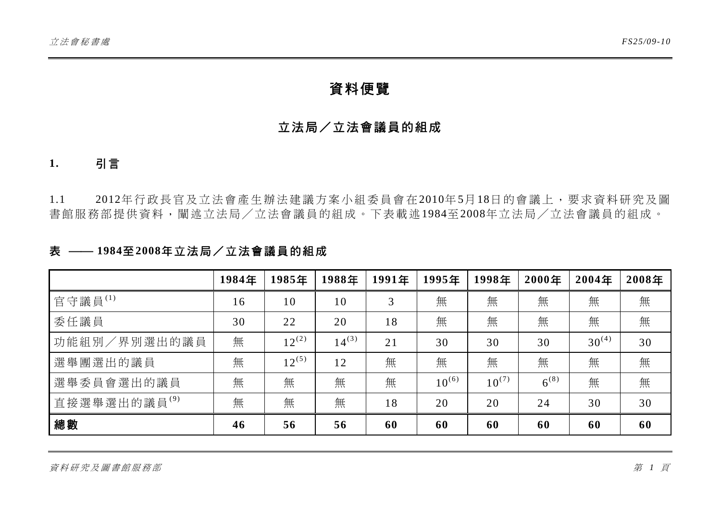# 資料便覽

## 立法局/立法會議員的組成

### **1.** 引言

1.1 2012年行政長官及立法會產生辦法建議方案小組委員會在2010年5月18日的會議上,要求資料研究及圖 書館服務部提供資料,闡述立法局/立法會議員的組成。下表載述1984至2008年立法局/立法會議員的組成。

### 表 ⎯⎯ **1984**至**2008**年立法局/立法會議員的組成

|                          | 1984年 | 1985年      | 1988年      | 1991年 | 1995年      | 1998年      | 2000年     | 2004年      | 2008年 |
|--------------------------|-------|------------|------------|-------|------------|------------|-----------|------------|-------|
| 官守議員 $^{(1)}$            | 16    | 10         | 10         | 3     | 無          | 無          | 無         | 無          | 無     |
| 委任議員                     | 30    | 22         | 20         | 18    | 無          | 無          | 無         | 無          | 無     |
| 功能組別/界別選出的議員             | 無     | $12^{(2)}$ | $14^{(3)}$ | 21    | 30         | 30         | 30        | $30^{(4)}$ | 30    |
| 選舉團選出的議員                 | 無     | $12^{(5)}$ | 12         | 無     | 無          | 無          | 無         | 無          | 無     |
| 選舉委員會選出的議員               | 無     | 無          | 無          | 無     | $10^{(6)}$ | $10^{(7)}$ | $6^{(8)}$ | 無          | 無     |
| 直接選舉選出的議員 <sup>(9)</sup> | 無     | 無          | 無          | 18    | 20         | 20         | 24        | 30         | 30    |
| 總數                       | 46    | 56         | 56         | 60    | 60         | 60         | 60        | 60         | 60    |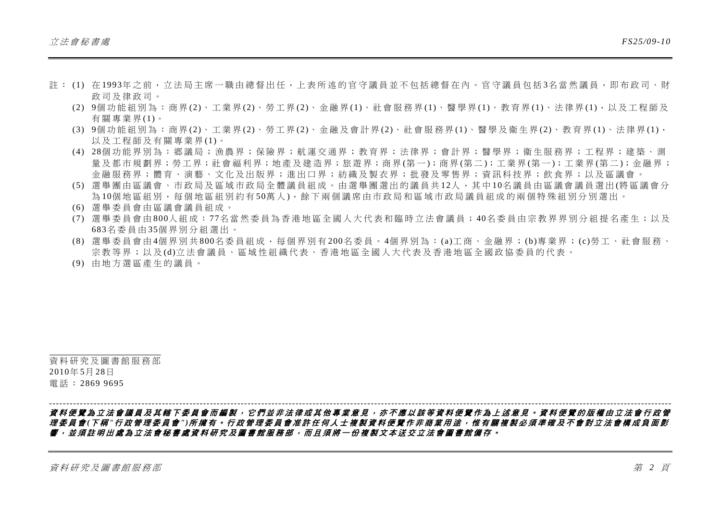- 註 : (1) 在 1993年之前,立法局主席一職由總督出任,上表所述的官守議員並不包括總督在內。官守議員包括 3名當然議員,即布政司、財 政司及律政司。
	- (2) 9個功能組別為:商界 (2)、工業界 (2)、勞工界 (2)、金融界 (1)、社會服務界 (1)、醫學界 (1)、教育界 (1)、法律界 (1),以及工程師及 有關專業界 (1)。
	- (3) 9個功能組別為:商界 (2)、工業界 (2)、勞工界 (2)、金融及會計界 (2)、社會服務界 (1)、醫學及衞生界 (2)、教育界 (1)、法律界 (1), 以及工程師及有關專業界 (1)。
	- (4) 28個功能界別為:鄉議局;漁農界;保險界;航運交通界;教育界;法律界;會計界;醫學界;衞生服務界;工程界;建築、測 量及都市規劃界;勞工界;社會福利界;地產及建浩界;旅游界;商界(第一);商界(第二);工業界(第一);工業界(第二);金融界; 金融服務界;體育、演藝、文化及出版界;進出口界;紡織及製衣界;批發及零售界;資訊科技界;飲食界;以及區議會。
	- (5) 選舉團由區議會、市政局及區域市政局全體議員組成。由選舉團選出的議員共 12人,其中 10名議員由區議會議員選出 (將區議會分 為 10個 地區組別, 每個地區組別約有 50萬 人), 餘下兩個議席由市政局和區域市政局議員組成的兩個特殊組別分別選出。
	- (6) 選舉委員會由區議會議員組成。
	- (7) 選舉委員會由 800人組成: <sup>77</sup>名當然委員為香港地區全國人大代表和臨時立法會議員; 40名委員由宗教界界別分組提名產生;以及 683名委員由 35個界別分組選出。
	- (8) 選舉委員會由 4個界別共 800名委員組成,每個界別有 200名委員。 4個界別為: (a)工商、金融界; (b)專業界; (c)勞工、社會服務、 宗教等界;以及 (d)立法會議員、區域性組織代表、香港地區全國人大代表及香港地區全國政協委員的代表。
	- (9) 由地方選區產生的議員。

資料研究及圖書館服務部 2010年 5月 28日 電話: 2869 9695

#### 資料便覽為立法會議員及其轄下委員會而編製,它們並非法律或其他專業意見,亦不應以該等資料便覽作為上述意見。資料便覽的版權由立法會 行政管 理委員會 *(*下 稱 *"*行政管理委員會 *")*所擁有。行政管理委員會准許任何人士複製資料便覽作非商業用途,惟有關複製必須準確及不會對立法會構成負面影 響,並須註明出處為立法會秘書處資料研究及圖書館服務部,而且須將一份複製文本送交立法會圖書館備存。

*--------------------------------------------------------------------------------------------------------------------------------------------------------------------------------------*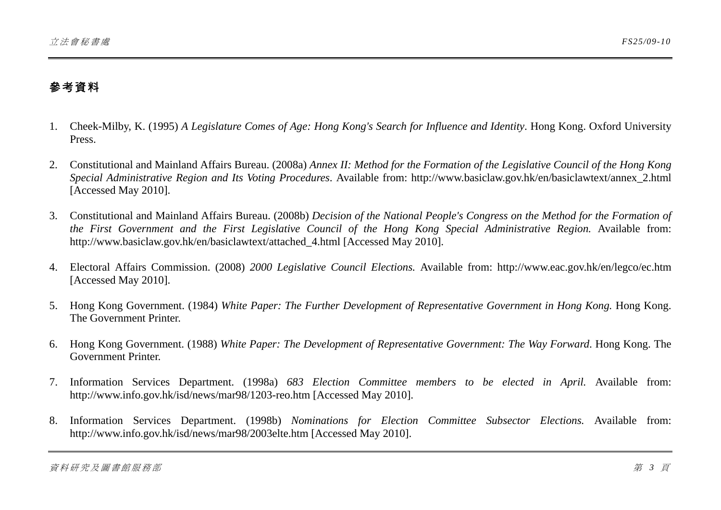# 參考資料

- 1. Cheek-Milby, K. (1995) *A Legislature Comes of Age: Hong Kong's Search for Influence and Identity*. Hong Kong. Oxford University Press.
- 2. Constitutional and Mainland Affairs Bureau. (2008a) *Annex II: Method for the Formation of the Legislative Council of the Hong Kong Special Administrative Region and Its Voting Procedures*. Available from: http://www.basiclaw.gov.hk/en/basiclawtext/annex\_2.html [Accessed May 2010].
- 3. Constitutional and Mainland Affairs Bureau. (2008b) *Decision of the National People's Congress on the Method for the Formation of the First Government and the First Legislative Council of the Hong Kong Special Administrative Region.* Available from: http://www.basiclaw.gov.hk/en/basiclawtext/attached\_4.html [Accessed May 2010].
- 4. Electoral Affairs Commission. (2008) *2000 Legislative Council Elections.* Available from: http://www.eac.gov.hk/en/legco/ec.htm [Accessed May 2010].
- 5. Hong Kong Government. (1984) *White Paper: The Further Development of Representative Government in Hong Kong.* Hong Kong. The Government Printer.
- 6. Hong Kong Government. (1988) *White Paper: The Development of Representative Government: The Way Forward*. Hong Kong. The Government Printer.
- 7. Information Services Department. (1998a) *683 Election Committee members to be elected in April.* Available from: http://www.info.gov.hk/isd/news/mar98/1203-reo.htm [Accessed May 2010].
- 8. Information Services Department. (1998b) *Nominations for Election Committee Subsector Elections.* Available from: http://www.info.gov.hk/isd/news/mar98/2003elte.htm [Accessed May 2010].